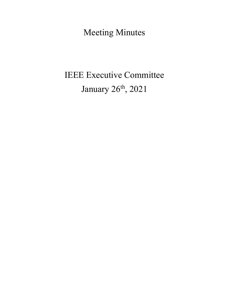Meeting Minutes

# IEEE Executive Committee January 26<sup>th</sup>, 2021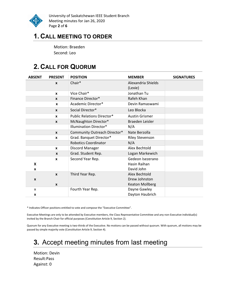

University of Saskatchewan IEEE Student Branch Meeting minutes for Jan 26, 2020 Page 2 of 6

### 1. CALL MEETING TO ORDER

Motion: Braeden Second: Leo

# 2. CALL FOR QUORUM

| <b>ABSENT</b> | <b>PRESENT</b>                   | <b>POSITION</b>                   | <b>MEMBER</b>                                            | <b>SIGNATURES</b> |
|---------------|----------------------------------|-----------------------------------|----------------------------------------------------------|-------------------|
|               | $\boldsymbol{x}$                 | Chair*                            | Alexandria Shields<br>(Lexie)                            |                   |
|               | $\mathbf{x}$                     | Vice Chair*                       | Jonathan Tu                                              |                   |
|               | $\mathbf{x}$                     | Finance Director*                 | Rafeh Khan                                               |                   |
|               | X                                | Academic Director*                | Devin Ramaswami                                          |                   |
|               | $\boldsymbol{x}$                 | Social Director*                  | Leo Blocka                                               |                   |
|               | $\mathbf{x}$                     | <b>Public Relations Director*</b> | <b>Austin Grismer</b>                                    |                   |
|               | $\mathbf{x}$                     | McNaughton Director*              | Braeden Leisler                                          |                   |
|               |                                  | <b>Illumination Director*</b>     | N/A                                                      |                   |
|               | $\mathbf{x}$                     | Community Outreach Director*      | Nate Berzolla                                            |                   |
|               | $\mathbf{x}$                     | Grad. Banquet Director*           | <b>Riley Stevenson</b>                                   |                   |
|               |                                  | <b>Robotics Coordinator</b>       | N/A                                                      |                   |
|               | $\mathbf{x}$                     | Discord Manager                   | Alex Bechtold                                            |                   |
|               | $\mathbf{x}$                     | Grad. Student Rep.                | Logan Markewich                                          |                   |
| X<br>X        | $\boldsymbol{x}$                 | Second Year Rep.                  | Gedeon Isezerano<br>Hasin Raihan<br>David John           |                   |
| X             | $\mathbf{x}$<br>$\boldsymbol{x}$ | Third Year Rep.                   | Alex Bechtold<br>Drew Johnston<br><b>Keaton Mollberg</b> |                   |
| X<br>x        |                                  | Fourth Year Rep.                  | Dayne Gawley<br>Dayton Haubrich                          |                   |

\* Indicates Officer positions entitled to vote and compose the "Executive Committee".

Executive Meetings are only to be attended by Executive members, the Class Representative Committee and any non-Executive individual(s) invited by the Branch Chair for official purposes (Constitution Article 9, Section 2).

Quorum for any Executive meeting is two-thirds of the Executive. No motions can be passed without quorum. With quorum, all motions may be passed by simple majority vote (Constitution Article 9, Section 4).

# 3. Accept meeting minutes from last meeting

Motion: Devin Result:Pass Against: 0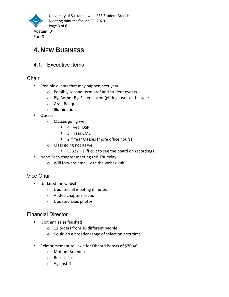

# 4. NEW BUSINESS

#### 4.1. Executive Items

#### **Chair**

- **Possible events that may happen next year** 
	- o Possibly second term prof and student events
	- o Big Bother Big Sisters event (gifting just like this year)
	- o Grad Banquet
	- o Illumination
- **Classes** 
	- o Classes going well
		- 4<sup>th</sup> year DSP
		- 3<sup>rd</sup> Year CME
		- **2<sup>nd</sup> Year Classes (more office hours)**
	- o Class going not as well
		- EE322 Difficult to see the board on recordings
- Nano Tech chapter meeting this Thursday
	- o Will forward email with the webex link

#### Vice Chair

- **Updated the website** 
	- o Updated all meeting minutes
	- o Added chapters section
	- o Updated Exec photos

#### Financial Director

- **EXECUTE:** Clothing sales finished
	- o 11 orders from 10 different people
	- o Could do a broader range of selection next time
- Reimbursement to Lexie for Discord Boosts of \$70.46
	- o Motion: Braeden
	- o Result: Pass
	- o Against: 1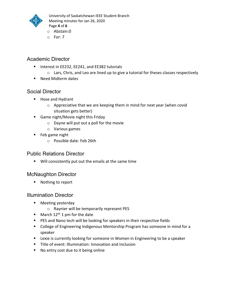

University of Saskatchewan IEEE Student Branch Meeting minutes for Jan 26, 2020 Page 4 of 6

- o Abstain:0
- o For: 7

#### Academic Director

- Interest in EE232, EE241, and EE382 tutorials
	- $\circ$  Lars, Chris, and Leo are lined up to give a tutorial for theses classes respectively
- Need Midterm dates

#### Social Director

- **Hose and Hydrant** 
	- o Appreciative that we are keeping them in mind for next year (when covid situation gets better)
- **Game night/Movie night this Friday** 
	- o Dayne will put out a poll for the movie
	- o Various games
- **Feb game night** 
	- o Possible date: Feb 26th

#### Public Relations Director

Will consistently put out the emails at the same time

#### McNaughton Director

■ Nothing to report

#### Illumination Director

- **Neeting yesterday** 
	- o Raynier will be temporarily represent PES
- March  $12<sup>th</sup> 1$  pm for the date
- **PES and Nano tech will be looking for speakers in their respective fields**
- College of Engineering Indigenous Mentorship Program has someone in mind for a speaker
- **EXECT** Lexie is currently looking for someone in Women in Engineering to be a speaker
- **Title of event: Illumination: Innovation and Inclusion**
- No entry cost due to it being online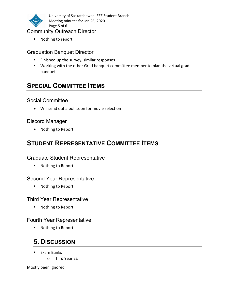

University of Saskatchewan IEEE Student Branch Meeting minutes for Jan 26, 2020 Page 5 of 6

#### Community Outreach Director

■ Nothing to report

#### Graduation Banquet Director

- **Finished up the survey, similar responses**
- Working with the other Grad banquet committee member to plan the virtual grad banquet

# SPECIAL COMMITTEE ITEMS

#### Social Committee

Will send out a poll soon for movie selection

#### Discord Manager

• Nothing to Report

## STUDENT REPRESENTATIVE COMMITTEE ITEMS

#### Graduate Student Representative

■ Nothing to Report.

#### Second Year Representative

■ Nothing to Report

#### Third Year Representative

■ Nothing to Report

#### Fourth Year Representative

■ Nothing to Report.

# 5. DISCUSSION

- $\blacksquare$  Exam Banks
	- o Third Year EE

Mostly been ignored